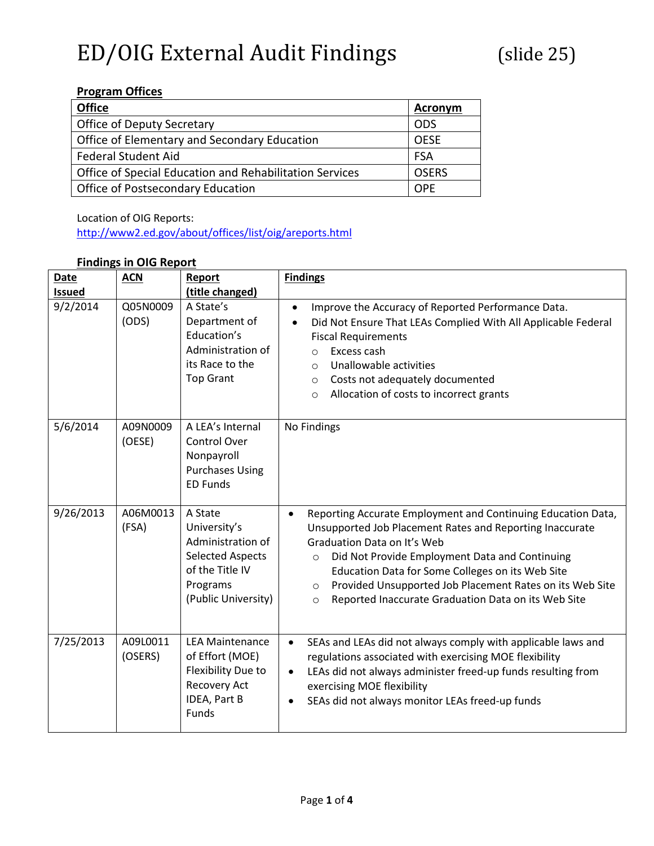#### **Program Offices**

| <b>Office</b>                                           | Acronym      |
|---------------------------------------------------------|--------------|
| Office of Deputy Secretary                              | ODS          |
| Office of Elementary and Secondary Education            | <b>OFSF</b>  |
| <b>Federal Student Aid</b>                              | <b>FSA</b>   |
| Office of Special Education and Rehabilitation Services | <b>OSERS</b> |
| Office of Postsecondary Education                       | OPF          |

Location of OIG Reports:

<http://www2.ed.gov/about/offices/list/oig/areports.html>

#### **Findings in OIG Report**

| <b>Date</b><br><b>Issued</b> | <b>ACN</b>          | Report<br>(title changed)                                                                                                     | <b>Findings</b>                                                                                                                                                                                                                                                                                                                                                                                                                |
|------------------------------|---------------------|-------------------------------------------------------------------------------------------------------------------------------|--------------------------------------------------------------------------------------------------------------------------------------------------------------------------------------------------------------------------------------------------------------------------------------------------------------------------------------------------------------------------------------------------------------------------------|
| 9/2/2014                     | Q05N0009<br>(ODS)   | A State's<br>Department of<br>Education's<br>Administration of<br>its Race to the<br><b>Top Grant</b>                         | Improve the Accuracy of Reported Performance Data.<br>$\bullet$<br>Did Not Ensure That LEAs Complied With All Applicable Federal<br>$\bullet$<br><b>Fiscal Requirements</b><br>Excess cash<br>$\bigcirc$<br>Unallowable activities<br>$\circ$<br>Costs not adequately documented<br>$\circ$<br>Allocation of costs to incorrect grants<br>$\circ$                                                                              |
| 5/6/2014                     | A09N0009<br>(OESE)  | A LEA's Internal<br>Control Over<br>Nonpayroll<br><b>Purchases Using</b><br><b>ED Funds</b>                                   | No Findings                                                                                                                                                                                                                                                                                                                                                                                                                    |
| 9/26/2013                    | A06M0013<br>(FSA)   | A State<br>University's<br>Administration of<br><b>Selected Aspects</b><br>of the Title IV<br>Programs<br>(Public University) | Reporting Accurate Employment and Continuing Education Data,<br>$\bullet$<br>Unsupported Job Placement Rates and Reporting Inaccurate<br>Graduation Data on It's Web<br>Did Not Provide Employment Data and Continuing<br>$\circ$<br>Education Data for Some Colleges on its Web Site<br>Provided Unsupported Job Placement Rates on its Web Site<br>$\circ$<br>Reported Inaccurate Graduation Data on its Web Site<br>$\circ$ |
| 7/25/2013                    | A09L0011<br>(OSERS) | <b>LEA Maintenance</b><br>of Effort (MOE)<br>Flexibility Due to<br>Recovery Act<br>IDEA, Part B<br>Funds                      | SEAs and LEAs did not always comply with applicable laws and<br>$\bullet$<br>regulations associated with exercising MOE flexibility<br>LEAs did not always administer freed-up funds resulting from<br>$\bullet$<br>exercising MOE flexibility<br>SEAs did not always monitor LEAs freed-up funds<br>$\bullet$                                                                                                                 |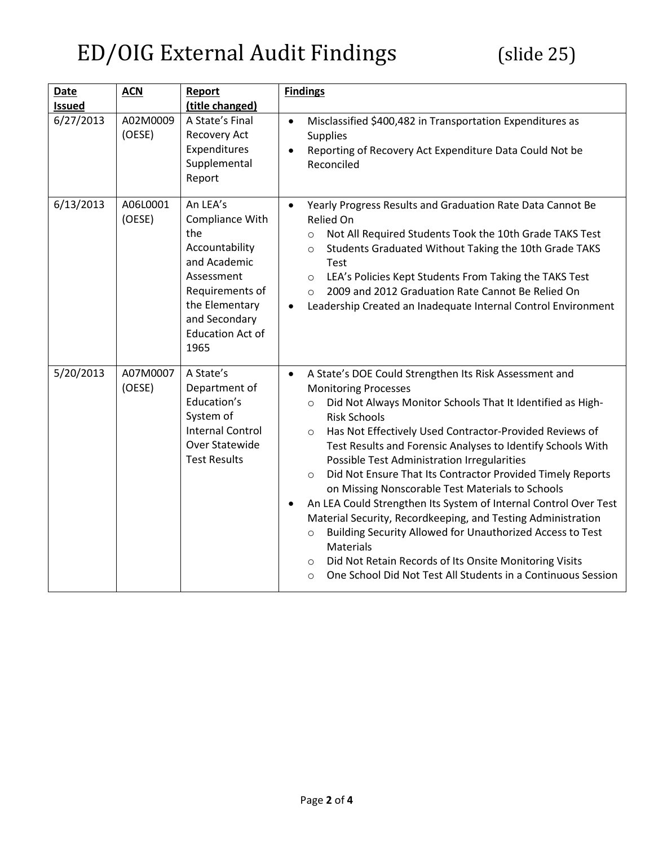| <b>Date</b><br><b>Issued</b> | <b>ACN</b>         | Report<br>(title changed)                                                                                                                                                   | <b>Findings</b>                                                                                                                                                                                                                                                                                                                                                                                                                                                                                                                                                                                                                                                                                                                                                                                                                                                                                           |
|------------------------------|--------------------|-----------------------------------------------------------------------------------------------------------------------------------------------------------------------------|-----------------------------------------------------------------------------------------------------------------------------------------------------------------------------------------------------------------------------------------------------------------------------------------------------------------------------------------------------------------------------------------------------------------------------------------------------------------------------------------------------------------------------------------------------------------------------------------------------------------------------------------------------------------------------------------------------------------------------------------------------------------------------------------------------------------------------------------------------------------------------------------------------------|
| 6/27/2013                    | A02M0009<br>(OESE) | A State's Final<br>Recovery Act<br>Expenditures<br>Supplemental<br>Report                                                                                                   | Misclassified \$400,482 in Transportation Expenditures as<br>$\bullet$<br>Supplies<br>Reporting of Recovery Act Expenditure Data Could Not be<br>Reconciled                                                                                                                                                                                                                                                                                                                                                                                                                                                                                                                                                                                                                                                                                                                                               |
| 6/13/2013                    | A06L0001<br>(OESE) | An LEA's<br>Compliance With<br>the<br>Accountability<br>and Academic<br>Assessment<br>Requirements of<br>the Elementary<br>and Secondary<br><b>Education Act of</b><br>1965 | Yearly Progress Results and Graduation Rate Data Cannot Be<br>$\bullet$<br>Relied On<br>Not All Required Students Took the 10th Grade TAKS Test<br>$\circ$<br>Students Graduated Without Taking the 10th Grade TAKS<br>$\circ$<br>Test<br>LEA's Policies Kept Students From Taking the TAKS Test<br>$\circ$<br>2009 and 2012 Graduation Rate Cannot Be Relied On<br>$\circ$<br>Leadership Created an Inadequate Internal Control Environment                                                                                                                                                                                                                                                                                                                                                                                                                                                              |
| 5/20/2013                    | A07M0007<br>(OESE) | A State's<br>Department of<br>Education's<br>System of<br><b>Internal Control</b><br>Over Statewide<br><b>Test Results</b>                                                  | A State's DOE Could Strengthen Its Risk Assessment and<br>$\bullet$<br><b>Monitoring Processes</b><br>Did Not Always Monitor Schools That It Identified as High-<br>$\circ$<br><b>Risk Schools</b><br>Has Not Effectively Used Contractor-Provided Reviews of<br>$\circ$<br>Test Results and Forensic Analyses to Identify Schools With<br>Possible Test Administration Irregularities<br>Did Not Ensure That Its Contractor Provided Timely Reports<br>$\circ$<br>on Missing Nonscorable Test Materials to Schools<br>An LEA Could Strengthen Its System of Internal Control Over Test<br>$\bullet$<br>Material Security, Recordkeeping, and Testing Administration<br>Building Security Allowed for Unauthorized Access to Test<br>$\circ$<br>Materials<br>Did Not Retain Records of Its Onsite Monitoring Visits<br>$\circ$<br>One School Did Not Test All Students in a Continuous Session<br>$\circ$ |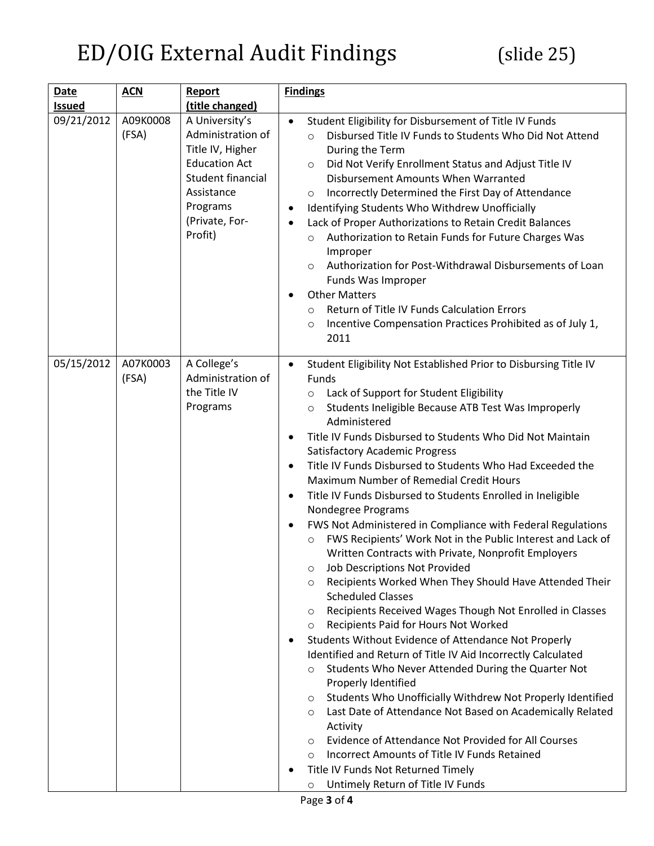| Date          | <b>ACN</b>        | Report                                                                                                                                                      | <b>Findings</b>                                                                                                                                                                                                                                                                                                                                                                                                                                                                                                                                                                                                                                                                                                                                                                                                                                                                                                                                                                                                                                                                                                                                                                                                                                                                                                                                                                                                                                                                                                                                                                                                                         |
|---------------|-------------------|-------------------------------------------------------------------------------------------------------------------------------------------------------------|-----------------------------------------------------------------------------------------------------------------------------------------------------------------------------------------------------------------------------------------------------------------------------------------------------------------------------------------------------------------------------------------------------------------------------------------------------------------------------------------------------------------------------------------------------------------------------------------------------------------------------------------------------------------------------------------------------------------------------------------------------------------------------------------------------------------------------------------------------------------------------------------------------------------------------------------------------------------------------------------------------------------------------------------------------------------------------------------------------------------------------------------------------------------------------------------------------------------------------------------------------------------------------------------------------------------------------------------------------------------------------------------------------------------------------------------------------------------------------------------------------------------------------------------------------------------------------------------------------------------------------------------|
| <b>Issued</b> |                   | (title changed)                                                                                                                                             |                                                                                                                                                                                                                                                                                                                                                                                                                                                                                                                                                                                                                                                                                                                                                                                                                                                                                                                                                                                                                                                                                                                                                                                                                                                                                                                                                                                                                                                                                                                                                                                                                                         |
| 09/21/2012    | A09K0008<br>(FSA) | A University's<br>Administration of<br>Title IV, Higher<br><b>Education Act</b><br>Student financial<br>Assistance<br>Programs<br>(Private, For-<br>Profit) | Student Eligibility for Disbursement of Title IV Funds<br>Disbursed Title IV Funds to Students Who Did Not Attend<br>$\circ$<br>During the Term<br>Did Not Verify Enrollment Status and Adjust Title IV<br>$\circ$<br>Disbursement Amounts When Warranted<br>Incorrectly Determined the First Day of Attendance<br>$\circ$<br>Identifying Students Who Withdrew Unofficially<br>$\bullet$<br>Lack of Proper Authorizations to Retain Credit Balances<br>$\bullet$<br>Authorization to Retain Funds for Future Charges Was<br>$\circ$<br>Improper<br>Authorization for Post-Withdrawal Disbursements of Loan<br>$\circ$<br>Funds Was Improper<br><b>Other Matters</b><br>$\bullet$<br>Return of Title IV Funds Calculation Errors<br>$\circ$<br>Incentive Compensation Practices Prohibited as of July 1,<br>$\circ$<br>2011                                                                                                                                                                                                                                                                                                                                                                                                                                                                                                                                                                                                                                                                                                                                                                                                             |
| 05/15/2012    | A07K0003<br>(FSA) | A College's<br>Administration of<br>the Title IV<br>Programs                                                                                                | Student Eligibility Not Established Prior to Disbursing Title IV<br>$\bullet$<br>Funds<br>Lack of Support for Student Eligibility<br>$\circ$<br>Students Ineligible Because ATB Test Was Improperly<br>$\circ$<br>Administered<br>Title IV Funds Disbursed to Students Who Did Not Maintain<br>$\bullet$<br><b>Satisfactory Academic Progress</b><br>Title IV Funds Disbursed to Students Who Had Exceeded the<br>$\bullet$<br>Maximum Number of Remedial Credit Hours<br>Title IV Funds Disbursed to Students Enrolled in Ineligible<br>$\bullet$<br>Nondegree Programs<br>FWS Not Administered in Compliance with Federal Regulations<br>٠<br>FWS Recipients' Work Not in the Public Interest and Lack of<br>$\circ$<br>Written Contracts with Private, Nonprofit Employers<br>Job Descriptions Not Provided<br>O<br>Recipients Worked When They Should Have Attended Their<br>$\circ$<br><b>Scheduled Classes</b><br>Recipients Received Wages Though Not Enrolled in Classes<br>$\circ$<br>Recipients Paid for Hours Not Worked<br>$\circ$<br>Students Without Evidence of Attendance Not Properly<br>٠<br>Identified and Return of Title IV Aid Incorrectly Calculated<br>Students Who Never Attended During the Quarter Not<br>$\circ$<br>Properly Identified<br>Students Who Unofficially Withdrew Not Properly Identified<br>O<br>Last Date of Attendance Not Based on Academically Related<br>$\circ$<br>Activity<br>Evidence of Attendance Not Provided for All Courses<br>$\circ$<br>Incorrect Amounts of Title IV Funds Retained<br>$\circ$<br>Title IV Funds Not Returned Timely<br>Untimely Return of Title IV Funds<br>O |